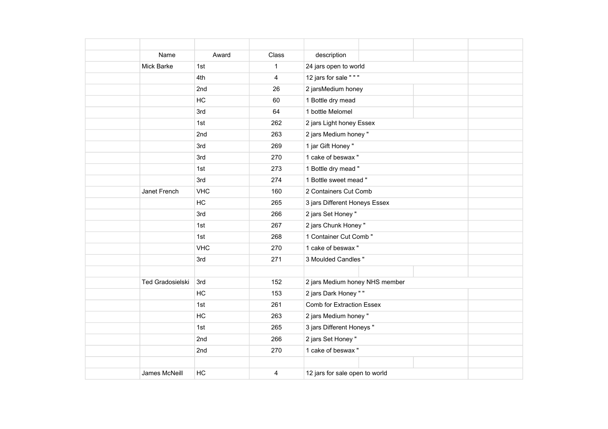| Name              | Award      | Class          | description                      |
|-------------------|------------|----------------|----------------------------------|
| <b>Mick Barke</b> | 1st        | $\mathbf 1$    | 24 jars open to world            |
|                   | 4th        | $\overline{4}$ | 12 jars for sale " " "           |
|                   | 2nd        | 26             | 2 jarsMedium honey               |
|                   | HC         | 60             | 1 Bottle dry mead                |
|                   | 3rd        | 64             | 1 bottle Melomel                 |
|                   | 1st        | 262            | 2 jars Light honey Essex         |
|                   | 2nd        | 263            | 2 jars Medium honey "            |
|                   | 3rd        | 269            | 1 jar Gift Honey "               |
|                   | 3rd        | 270            | 1 cake of beswax"                |
|                   | 1st        | 273            | 1 Bottle dry mead "              |
|                   | 3rd        | 274            | 1 Bottle sweet mead "            |
| Janet French      | <b>VHC</b> | 160            | 2 Containers Cut Comb            |
|                   | HC         | 265            | 3 jars Different Honeys Essex    |
|                   | 3rd        | 266            | 2 jars Set Honey "               |
|                   | 1st        | 267            | 2 jars Chunk Honey"              |
|                   | 1st        | 268            | 1 Container Cut Comb "           |
|                   | <b>VHC</b> | 270            | 1 cake of beswax"                |
|                   | 3rd        | 271            | 3 Moulded Candles "              |
|                   |            |                |                                  |
| Ted Gradosielski  | 3rd        | 152            | 2 jars Medium honey NHS member   |
|                   | HC         | 153            | 2 jars Dark Honey " "            |
|                   | 1st        | 261            | <b>Comb for Extraction Essex</b> |
|                   | HC         | 263            | 2 jars Medium honey "            |
|                   | 1st        | 265            | 3 jars Different Honeys "        |
|                   | 2nd        | 266            | 2 jars Set Honey "               |
|                   | 2nd        | 270            | 1 cake of beswax"                |
|                   |            |                |                                  |
| James McNeill     | HC         | 4              | 12 jars for sale open to world   |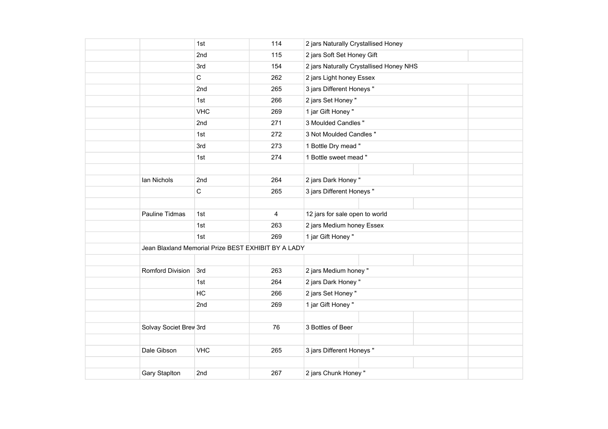|                        | 1st                                                 | 114 | 2 jars Naturally Crystallised Honey     |
|------------------------|-----------------------------------------------------|-----|-----------------------------------------|
|                        | 2nd                                                 | 115 | 2 jars Soft Set Honey Gift              |
|                        | 3rd                                                 | 154 | 2 jars Naturally Crystallised Honey NHS |
|                        | $\mathsf C$                                         | 262 | 2 jars Light honey Essex                |
|                        | 2nd                                                 | 265 | 3 jars Different Honeys "               |
|                        | 1st                                                 | 266 | 2 jars Set Honey "                      |
|                        | <b>VHC</b>                                          | 269 | 1 jar Gift Honey "                      |
|                        | 2nd                                                 | 271 | 3 Moulded Candles "                     |
|                        | 1st                                                 | 272 | 3 Not Moulded Candles "                 |
|                        | 3rd                                                 | 273 | 1 Bottle Dry mead "                     |
|                        | 1st                                                 | 274 | 1 Bottle sweet mead "                   |
|                        |                                                     |     |                                         |
| Ian Nichols            | 2nd                                                 | 264 | 2 jars Dark Honey"                      |
|                        | $\mathbf C$                                         | 265 | 3 jars Different Honeys "               |
|                        |                                                     |     |                                         |
| Pauline Tidmas         | 1st                                                 | 4   | 12 jars for sale open to world          |
|                        | 1st                                                 | 263 | 2 jars Medium honey Essex               |
|                        | 1st                                                 | 269 | 1 jar Gift Honey "                      |
|                        | Jean Blaxland Memorial Prize BEST EXHIBIT BY A LADY |     |                                         |
|                        |                                                     |     |                                         |
| Romford Division       | 3rd                                                 | 263 | 2 jars Medium honey "                   |
|                        | 1st                                                 | 264 | 2 jars Dark Honey "                     |
|                        | HC                                                  | 266 | 2 jars Set Honey "                      |
|                        | 2nd                                                 | 269 | 1 jar Gift Honey "                      |
|                        |                                                     |     |                                         |
| Solvay Societ Brev 3rd |                                                     | 76  | 3 Bottles of Beer                       |
|                        |                                                     |     |                                         |
| Dale Gibson            | <b>VHC</b>                                          | 265 | 3 jars Different Honeys "               |
|                        |                                                     |     |                                         |
| Gary Staplton          | 2nd                                                 | 267 | 2 jars Chunk Honey"                     |